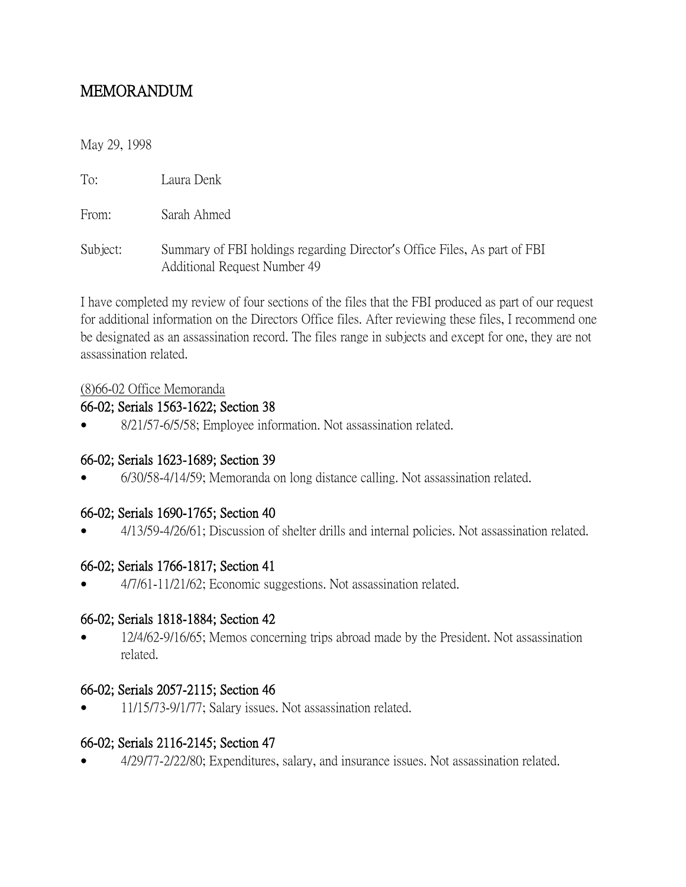# MEMORANDUM

#### May 29, 1998

To: Laura Denk

From: Sarah Ahmed

Subject: Summary of FBI holdings regarding Director's Office Files, As part of FBI Additional Request Number 49

I have completed my review of four sections of the files that the FBI produced as part of our request for additional information on the Directors Office files. After reviewing these files, I recommend one be designated as an assassination record. The files range in subjects and except for one, they are not assassination related.

#### (8)66-02 Office Memoranda

#### 66-02; Serials 1563-1622; Section 38

8/21/57-6/5/58; Employee information. Not assassination related.

### 66-02; Serials 1623-1689; Section 39

6/30/58-4/14/59; Memoranda on long distance calling. Not assassination related.

### 66-02; Serials 1690-1765; Section 40

4/13/59-4/26/61; Discussion of shelter drills and internal policies. Not assassination related.

### 66-02; Serials 1766-1817; Section 41

4/7/61-11/21/62; Economic suggestions. Not assassination related.

#### 66-02; Serials 1818-1884; Section 42

 12/4/62-9/16/65; Memos concerning trips abroad made by the President. Not assassination related.

#### 66-02; Serials 2057-2115; Section 46

11/15/73-9/1/77; Salary issues. Not assassination related.

### 66-02; Serials 2116-2145; Section 47

4/29/77-2/22/80; Expenditures, salary, and insurance issues. Not assassination related.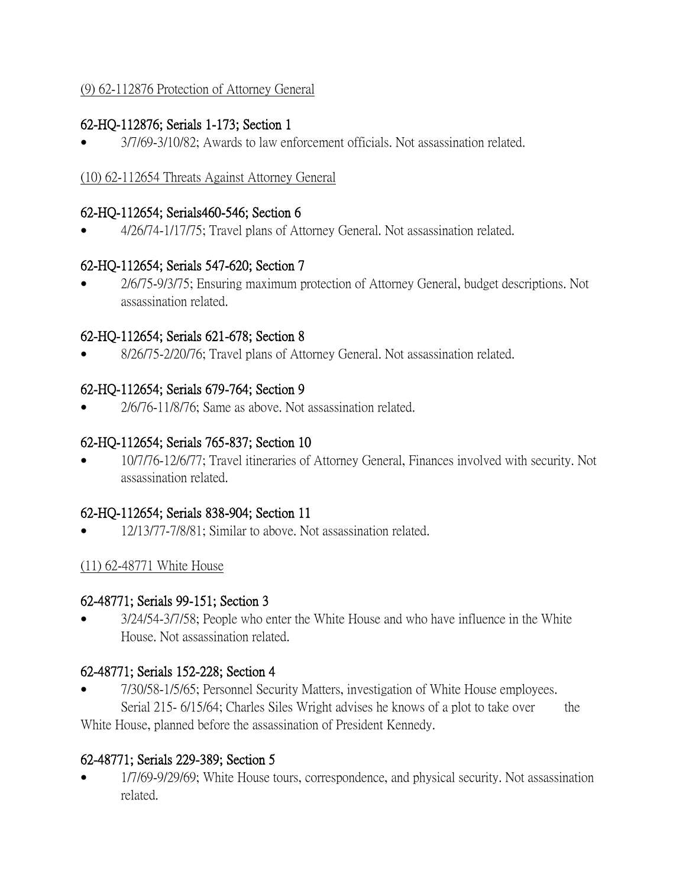# (9) 62-112876 Protection of Attorney General

# 62-HQ-112876; Serials 1-173; Section 1

3/7/69-3/10/82; Awards to law enforcement officials. Not assassination related.

### (10) 62-112654 Threats Against Attorney General

### 62-HQ-112654; Serials460-546; Section 6

4/26/74-1/17/75; Travel plans of Attorney General. Not assassination related.

# 62-HQ-112654; Serials 547-620; Section 7

 2/6/75-9/3/75; Ensuring maximum protection of Attorney General, budget descriptions. Not assassination related.

# 62-HQ-112654; Serials 621-678; Section 8

8/26/75-2/20/76; Travel plans of Attorney General. Not assassination related.

# 62-HQ-112654; Serials 679-764; Section 9

2/6/76-11/8/76; Same as above. Not assassination related.

# 62-HQ-112654; Serials 765-837; Section 10

 10/7/76-12/6/77; Travel itineraries of Attorney General, Finances involved with security. Not assassination related.

### 62-HQ-112654; Serials 838-904; Section 11

12/13/77-7/8/81; Similar to above. Not assassination related.

### (11) 62-48771 White House

### 62-48771; Serials 99-151; Section 3

 3/24/54-3/7/58; People who enter the White House and who have influence in the White House. Not assassination related.

### 62-48771; Serials 152-228; Section 4

 7/30/58-1/5/65; Personnel Security Matters, investigation of White House employees. Serial 215- 6/15/64; Charles Siles Wright advises he knows of a plot to take over the

White House, planned before the assassination of President Kennedy.

# 62-48771; Serials 229-389; Section 5

 1/7/69-9/29/69; White House tours, correspondence, and physical security. Not assassination related.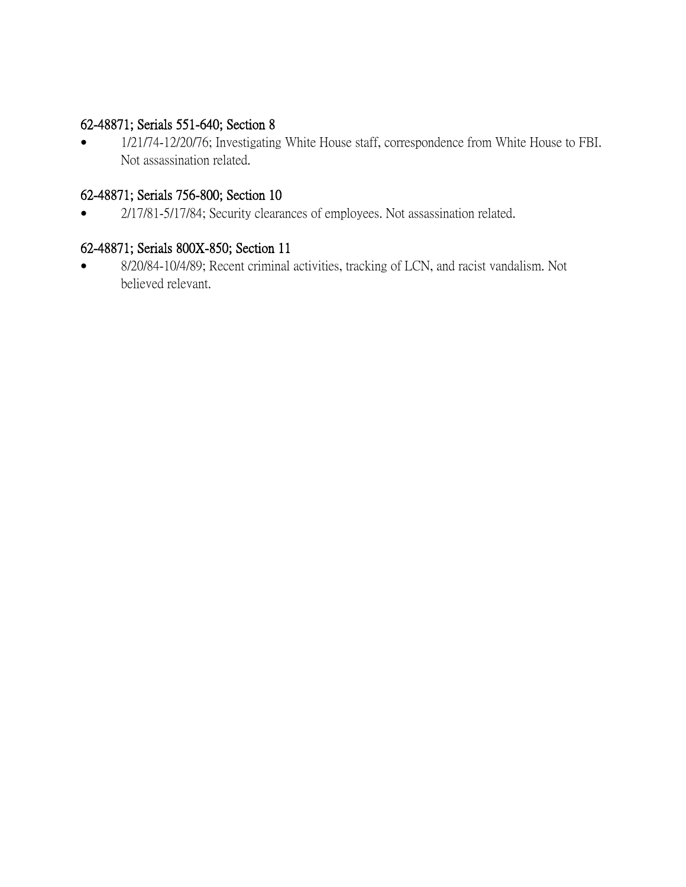# 62-48871; Serials 551-640; Section 8

• 1/21/74-12/20/76; Investigating White House staff, correspondence from White House to FBI. Not assassination related.

# 62-48871; Serials 756-800; Section 10

• 2/17/81-5/17/84; Security clearances of employees. Not assassination related.

# 62-48871; Serials 800X-850; Section 11

 8/20/84-10/4/89; Recent criminal activities, tracking of LCN, and racist vandalism. Not believed relevant.